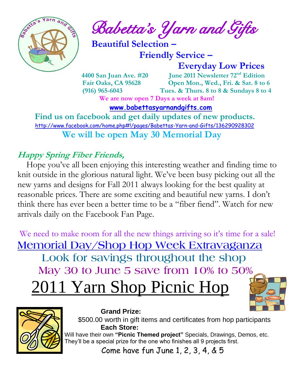

 $\int_{a}^{\frac{1}{2} \cdot \frac{1}{2} \cdot \frac{1}{2}} \cdot \frac{1}{2} \cdot \frac{1}{2} \cdot \frac{1}{2} \cdot \frac{1}{2} \cdot \frac{1}{2} \cdot \frac{1}{2} \cdot \frac{1}{2} \cdot \frac{1}{2} \cdot \frac{1}{2} \cdot \frac{1}{2} \cdot \frac{1}{2} \cdot \frac{1}{2} \cdot \frac{1}{2} \cdot \frac{1}{2} \cdot \frac{1}{2} \cdot \frac{1}{2} \cdot \frac{1}{2} \cdot \frac{1}{2} \cdot \frac{1}{2} \cdot \frac{1}{2} \cdot \frac{1}{2} \$ 

 **Beautiful Selection –**

 **Friendly Service –**

 **Everyday Low Prices**

 **4400 San Juan Ave. #20 June 2011 Newsletter 72nd Edition Fair Oaks, CA 95628 Open Mon., Wed., Fri. & Sat. 8 to 6 (916) 965-6043 Tues. & Thurs. 8 to 8 & Sundays 8 to 4 We are now open 7 Days a week at 8am!** 

 **[www.babettasyarnandgifts.com](http://www.babettasyarnandgifts.com/)**

 **Find us on facebook and get daily updates of new products.**  <http://www.facebook.com/home.php#!/pages/Babettas-Yarn-and-Gifts/136290928302>  **We will be open May 30 Memorial Day**

### **Happy Spring Fiber Friends,**

Hope you've all been enjoying this interesting weather and finding time to knit outside in the glorious natural light. We've been busy picking out all the new yarns and designs for Fall 2011 always looking for the best quality at reasonable prices. There are some exciting and beautiful new yarns. I don't think there has ever been a better time to be a "fiber fiend". Watch for new arrivals daily on the Facebook Fan Page.

We need to make room for all the new things arriving so it's time for a sale! **Memorial Day/Shop Hop Week Extravaganza Look for savings throughout the shop May 30 to June 5 save from 10% to 50%** 2011 Yarn Shop Picnic Hop





#### **Grand Prize:**

 \$500.00 worth in gift items and certificates from hop participants  **Each Store:** Will have their own **"Picnic Themed project"** Specials, Drawings, Demos, etc. They'll be a special prize for the one who finishes all 9 projects first.

Come have fun June 1, 2, 3, 4, & 5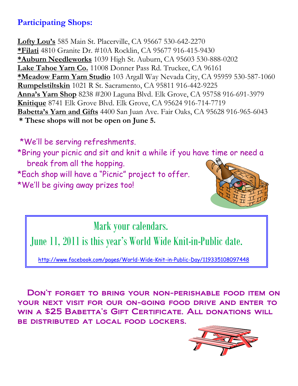#### **Participating Shops:**

**Lofty Lou's** 585 Main St. Placerville, CA 95667 530-642-2270 **\*Filati** 4810 Granite Dr. #10A Rocklin, CA 95677 916-415-9430 **\*Auburn Needleworks** 1039 High St. Auburn, CA 95603 530-888-0202 **Lake Tahoe Yarn Co.** 11008 Donner Pass Rd. Truckee, CA 96161 **\*Meadow Farm Yarn Studio** 103 Argall Way Nevada City, CA 95959 530-587-1060 **Rumpelstiltskin** 1021 R St. Sacramento, CA 95811 916-442-9225 **Anna's Yarn Shop** 8238 #200 Laguna Blvd. Elk Grove, CA 95758 916-691-3979 **Knitique** 8741 Elk Grove Blvd. Elk Grove, CA 95624 916-714-7719 **Babetta's Yarn and Gifts** 4400 San Juan Ave. Fair Oaks, CA 95628 916-965-6043 **\* These shops will not be open on June 5.**

\*We'll be serving refreshments.

\*Bring your picnic and sit and knit a while if you have time or need a break from all the hopping. \*Each shop will have a "Picnic" project to offer. \*We'll be giving away prizes too!

Mark your calendars.

June 11, 2011 is this year's World Wide Knit-in-Public date.

<http://www.facebook.com/pages/World-Wide-Knit-in-Public-Day/119335108097448>

 Don't forget to bring your non-perishable food item on your next visit for our on-going food drive and enter to win a \$25 Babetta's Gift Certificate. All donations will be distributed at local food lockers.

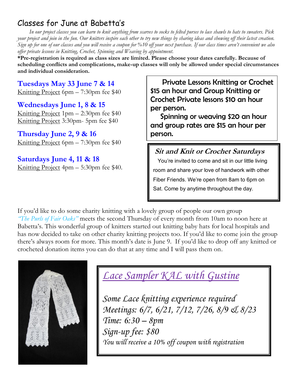#### Classes for June at Babetta's

 *In our project classes you can learn to knit anything from scarves to socks to felted purses to lace shawls to hats to sweaters. Pick your project and join in the fun. Our knitters inspire each other to try new things by sharing ideas and showing off their latest creation. Sign up for one of our classes and you will receive a coupon for %10 off your next purchase. If our class times aren't convenient we also offer private lessons in Knitting, Crochet, Spinning and Weaving by appointment.*

**\*Pre-registration is required as class sizes are limited. Please choose your dates carefully. Because of scheduling conflicts and complications, make-up classes will only be allowed under special circumstances and individual consideration.**

**Tuesdays May 33 June 7 & 14** Knitting Project 6pm – 7:30pm fee \$40

**Wednesdays June 1, 8 & 15** Knitting Project 1pm – 2:30pm fee \$40 Knitting Project 3:30pm- 5pm fee \$40

**Thursday June 2, 9 & 16** Knitting Project 6pm – 7:30pm fee \$40

**Saturdays June 4, 11 & 18** Knitting Project 4pm – 5:30pm fee \$40.

 Private Lessons Knitting or Crochet \$15 an hour and Group Knitting or Crochet Private lessons \$10 an hour per person.

 Spinning or weaving \$20 an hour and group rates are \$15 an hour per person.

**Sit and Knit or Crochet Saturdays**

 You're invited to come and sit in our little living room and share your love of handwork with other Fiber Friends. We're open from 8am to 6pm on Sat. Come by anytime throughout the day.

If you'd like to do some charity knitting with a lovely group of people our own group *"The Purls of Fair Oaks"* meets the second Thursday of every month from 10am to noon here at Babetta's. This wonderful group of knitters started out knitting baby hats for local hospitals and has now decided to take on other charity knitting projects too. If you'd like to come join the group there's always room for more. This month's date is June 9. If you'd like to drop off any knitted or crocheted donation items you can do that at any time and I will pass them on.



# *Lace Sampler KAL with Gustine*

*Some Lace knitting experience required Meetings: 6/7, 6/21, 7/12, 7/26, 8/9 & 8/23 Time: 6:30 – 8pm Sign-up fee: \$80 You will receive a 10% off coupon with registration*